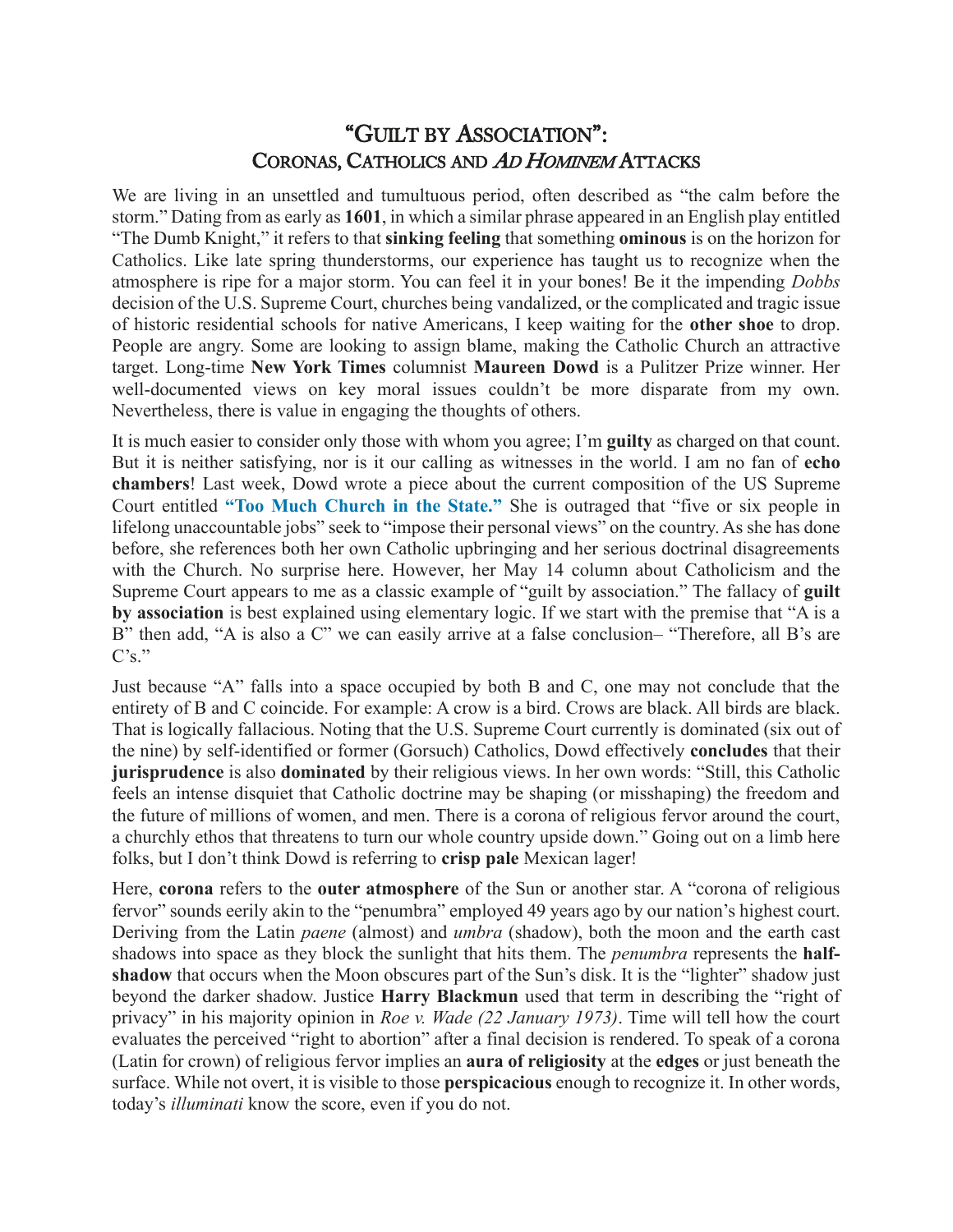## "GUILT BY ASSOCIATION": CORONAS, CATHOLICS AND AD HOMINEM ATTACKS

We are living in an unsettled and tumultuous period, often described as "the calm before the storm." Dating from as early as **1601**, in which a similar phrase appeared in an English play entitled "The Dumb Knight," it refers to that **sinking feeling** that something **ominous** is on the horizon for Catholics. Like late spring thunderstorms, our experience has taught us to recognize when the atmosphere is ripe for a major storm. You can feel it in your bones! Be it the impending *Dobbs*  decision of the U.S. Supreme Court, churches being vandalized, or the complicated and tragic issue of historic residential schools for native Americans, I keep waiting for the **other shoe** to drop. People are angry. Some are looking to assign blame, making the Catholic Church an attractive target. Long-time **New York Times** columnist **Maureen Dowd** is a Pulitzer Prize winner. Her well-documented views on key moral issues couldn't be more disparate from my own. Nevertheless, there is value in engaging the thoughts of others.

It is much easier to consider only those with whom you agree; I'm **guilty** as charged on that count. But it is neither satisfying, nor is it our calling as witnesses in the world. I am no fan of **echo chambers**! Last week, Dowd wrote a piece about the current composition of the US Supreme Court entitled **["Too Much Church in the State."](https://www.nytimes.com/2022/05/14/opinion/catholic-roe-abortion-supreme-court.html)** She is outraged that "five or six people in lifelong unaccountable jobs" seek to "impose their personal views" on the country. As she has done before, she references both her own Catholic upbringing and her serious doctrinal disagreements with the Church. No surprise here. However, her May 14 column about Catholicism and the Supreme Court appears to me as a classic example of "guilt by association." The fallacy of **guilt by association** is best explained using elementary logic. If we start with the premise that "A is a B" then add, "A is also a C" we can easily arrive at a false conclusion– "Therefore, all B's are  $C's$ ."

Just because "A" falls into a space occupied by both B and C, one may not conclude that the entirety of B and C coincide. For example: A crow is a bird. Crows are black. All birds are black. That is logically fallacious. Noting that the U.S. Supreme Court currently is dominated (six out of the nine) by self-identified or former (Gorsuch) Catholics, Dowd effectively **concludes** that their **jurisprudence** is also **dominated** by their religious views. In her own words: "Still, this Catholic feels an intense disquiet that Catholic doctrine may be shaping (or misshaping) the freedom and the future of millions of women, and men. There is a corona of religious fervor around the court, a churchly ethos that threatens to turn our whole country upside down." Going out on a limb here folks, but I don't think Dowd is referring to **crisp pale** Mexican lager!

Here, **corona** refers to the **outer atmosphere** of the Sun or another star. A "corona of religious fervor" sounds eerily akin to the "penumbra" employed 49 years ago by our nation's highest court. Deriving from the Latin *paene* (almost) and *umbra* (shadow), both the moon and the earth cast shadows into space as they block the sunlight that hits them. The *penumbra* represents the **half**shadow that occurs when the Moon obscures part of the Sun's disk. It is the "lighter" shadow just beyond the darker shadow. Justice **Harry Blackmun** used that term in describing the "right of privacy" in his majority opinion in *Roe v. Wade (22 January 1973)*. Time will tell how the court evaluates the perceived "right to abortion" after a final decision is rendered. To speak of a corona (Latin for crown) of religious fervor implies an **aura of religiosity** at the **edges** or just beneath the surface. While not overt, it is visible to those **perspicacious** enough to recognize it. In other words, today's *illuminati* know the score, even if you do not.